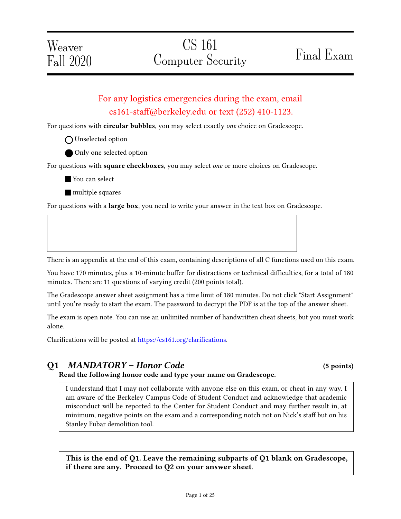# For any logistics emergencies during the exam, email cs161-sta@berkeley.edu or text (252) 410-1123.

For questions with circular bubbles, you may select exactly one choice on Gradescope.

- O Unselected option
- Only one selected option

For questions with square checkboxes, you may select one or more choices on Gradescope.

■ You can select

**nultiple** squares

For questions with a **large box**, you need to write your answer in the text box on Gradescope.

There is an appendix at the end of this exam, containing descriptions of all C functions used on this exam.

You have 170 minutes, plus a 10-minute buffer for distractions or technical difficulties, for a total of 180 minutes. There are 11 questions of varying credit (200 points total).

The Gradescope answer sheet assignment has a time limit of 180 minutes. Do not click "Start Assignment" until you're ready to start the exam. The password to decrypt the PDF is at the top of the answer sheet.

The exam is open note. You can use an unlimited number of handwritten cheat sheets, but you must work alone.

Clarifications will be posted at https://cs161.org/clarifications.

## Q1 MANDATORY – Honor Code (5 points)

Read the following honor code and type your name on Gradescope.

I understand that I may not collaborate with anyone else on this exam, or cheat in any way. I am aware of the Berkeley Campus Code of Student Conduct and acknowledge that academic misconduct will be reported to the Center for Student Conduct and may further result in, at minimum, negative points on the exam and a corresponding notch not on Nick's staff but on his Stanley Fubar demolition tool.

This is the end of Q1. Leave the remaining subparts of Q1 blank on Gradescope, if there are any. Proceed to Q2 on your answer sheet.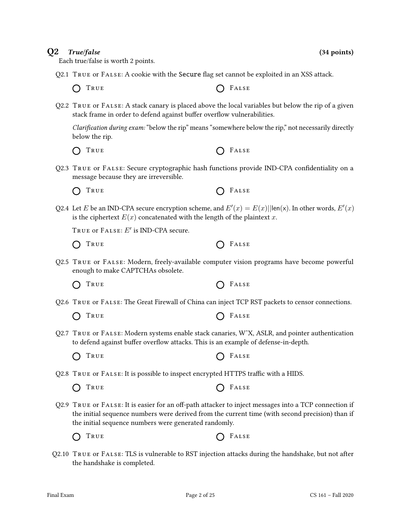## $Q2$  True/false (34 points)

Each true/false is worth 2 points.

Q2.1 TRUE or  $FALSE: A$  cookie with the Secure flag set cannot be exploited in an XSS attack.

 $\bigcap$  True  $\bigcap$  False

Q2.2 True or False: A stack canary is placed above the local variables but below the rip of a given stack frame in order to defend against buffer overflow vulnerabilities.

Clarification during exam: "below the rip" means "somewhere below the rip," not necessarily directly below the rip.

- O TRUE C FALSE
- Q2.3 True or False: Secure cryptographic hash functions provide IND-CPA condentiality on a message because they are irreversible.

 $\bigcap$  True  $\bigcap$  False

Q2.4 Let E be an IND-CPA secure encryption scheme, and  $E'(x) = E(x) ||\text{len}(x)$ . In other words,  $E'(x)$ is the ciphertext  $E(x)$  concatenated with the length of the plaintext x.

TRUE OF  $\texttt{False}$ :  $E'$  is IND-CPA secure.

- $\bigcap$  True  $\bigcap$  False
- Q2.5 True or False: Modern, freely-available computer vision programs have become powerful enough to make CAPTCHAs obsolete.

 $\bigcap$  True  $\bigcap$  False

- Q2.6 True or False: The Great Firewall of China can inject TCP RST packets to censor connections.
	- $\bigcap$  True  $\bigcap$  False
- Q2.7 True or False: Modern systems enable stack canaries, WˆX, ASLR, and pointer authentication to defend against buffer overflow attacks. This is an example of defense-in-depth.
	- $\bigcap$  True  $\bigcap$  False

 $Q2.8$  True or FALSE: It is possible to inspect encrypted HTTPS traffic with a HIDS.

 $\bigcap$  True  $\bigcap$  False

- Q2.9 TRUE or FALSE: It is easier for an off-path attacker to inject messages into a TCP connection if the initial sequence numbers were derived from the current time (with second precision) than if the initial sequence numbers were generated randomly.
	- $\bigcap$  True  $\bigcap$  False
- Q2.10 True or False: TLS is vulnerable to RST injection attacks during the handshake, but not after the handshake is completed.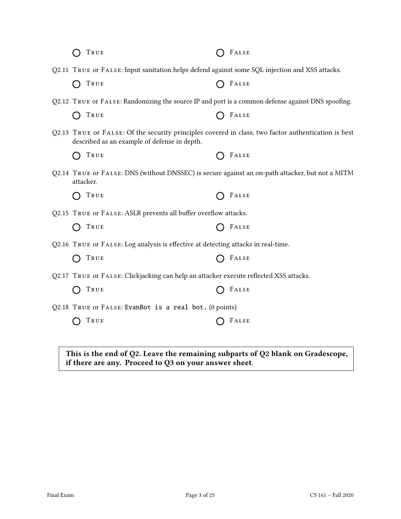| TRUE                                                                                                                                                | FALSE |
|-----------------------------------------------------------------------------------------------------------------------------------------------------|-------|
| Q2.11 TRUE OF FALSE: Input sanitation helps defend against some SQL injection and XSS attacks.                                                      |       |
| TRUE                                                                                                                                                | FALSE |
| Q2.12 TRUE OF FALSE: Randomizing the source IP and port is a common defense against DNS spoofing.                                                   |       |
| TRUE                                                                                                                                                | FALSE |
| Q2.13 TRUE or FALSE: Of the security principles covered in class, two factor authentication is best<br>described as an example of defense in depth. |       |
| TRUE                                                                                                                                                | FALSE |
| Q2.14 TRUE OF FALSE: DNS (without DNSSEC) is secure against an on-path attacker, but not a MITM<br>attacker.                                        |       |
| TRUE                                                                                                                                                | FALSE |
| Q2.15 TRUE OF FALSE: ASLR prevents all buffer overflow attacks.                                                                                     |       |
| TRUE                                                                                                                                                | FALSE |
| Q2.16 TRUE OF FALSE: Log analysis is effective at detecting attacks in real-time.                                                                   |       |
| TRUE                                                                                                                                                | FALSE |
| Q2.17 TRUE OF FALSE: Clickjacking can help an attacker execute reflected XSS attacks.                                                               |       |
| TRUE                                                                                                                                                | FALSE |
| Q2.18 TRUE or FALSE: EvanBot is a real bot. (0 points)                                                                                              |       |
| TRUE                                                                                                                                                | FALSE |
|                                                                                                                                                     |       |
|                                                                                                                                                     |       |

This is the end of Q2. Leave the remaining subparts of Q2 blank on Gradescope, if there are any. Proceed to Q3 on your answer sheet.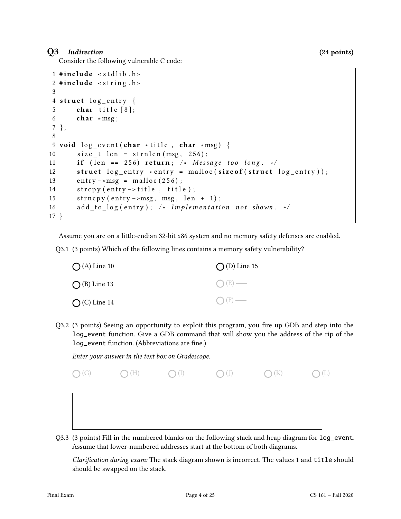## Q3 Indirection (24 points)

Consider the following vulnerable C code:

```
1 \#include < stdlib . h>
2 \mid \#include < string.h>
3
4 \times struct log_entry {
5 char title [8];
6 char * msg;
7 };
8
9 void log_e vent (char * title, char * msg) {
10 size_t len = strnlen (msg, 256);
11 if ( len == 256) return; /* Message too long. */
12 struct log_{\text{entry}} * entry = malloc(sizeof(struct log_{\text{entry}}));13 entry –>msg = malloc(256);
14 strcpy (entry -> title, title);
15 strncpy (entry ->msg, msg, len + 1);
16 add_to_log(entry); /* Implementation not shown. */
17 }
```
Assume you are on a little-endian 32-bit x86 system and no memory safety defenses are enabled.

Q3.1 (3 points) Which of the following lines contains a memory safety vulnerability?

| $\bigcap$ (A) Line 10 | $\bigcirc$ (D) Line 15 |
|-----------------------|------------------------|
| $\bigcap$ (B) Line 13 | $O(E)$ —               |
| $O$ (C) Line 14       | $\bigcap$ (F) —        |

Q3.2 (3 points) Seeing an opportunity to exploit this program, you fire up GDB and step into the log\_event function. Give a GDB command that will show you the address of the rip of the log\_event function. (Abbreviations are fine.)

Enter your answer in the text box on Gradescope.



Q3.3 (3 points) Fill in the numbered blanks on the following stack and heap diagram for log\_event. Assume that lower-numbered addresses start at the bottom of both diagrams.

Clarification during exam: The stack diagram shown is incorrect. The values 1 and title should should be swapped on the stack.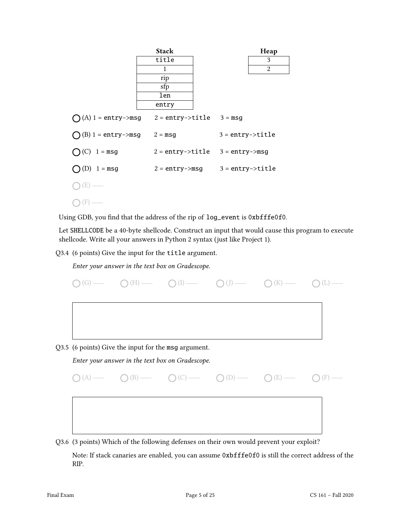

Using GDB, you find that the address of the rip of log\_event is 0xbfffe0f0.

Let SHELLCODE be a 40-byte shellcode. Construct an input that would cause this program to execute shellcode. Write all your answers in Python 2 syntax (just like Project 1).

Q3.4 (6 points) Give the input for the title argument.

Enter your answer in the text box on Gradescope.



Q3.6 (3 points) Which of the following defenses on their own would prevent your exploit?

Note: If stack canaries are enabled, you can assume 0xbfffe0f0 is still the correct address of the RIP.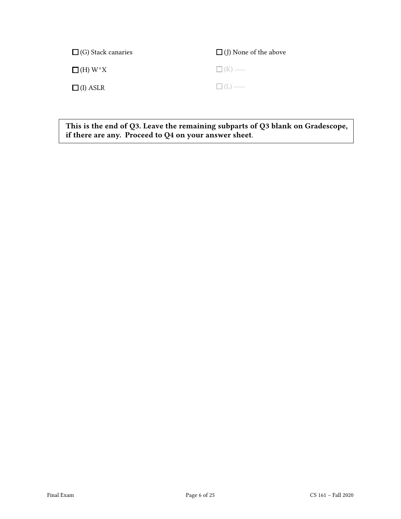| $\Box$ (G) Stack canaries                    | $\Box$ (J) None of the above |
|----------------------------------------------|------------------------------|
| $\Box$ (H) W <sup><math>\land</math></sup> X | $\Box$ (K) —                 |
| $\Box$ (I) ASLR                              | $\Box$ (L) —                 |

This is the end of Q3. Leave the remaining subparts of Q3 blank on Gradescope, if there are any. Proceed to Q4 on your answer sheet.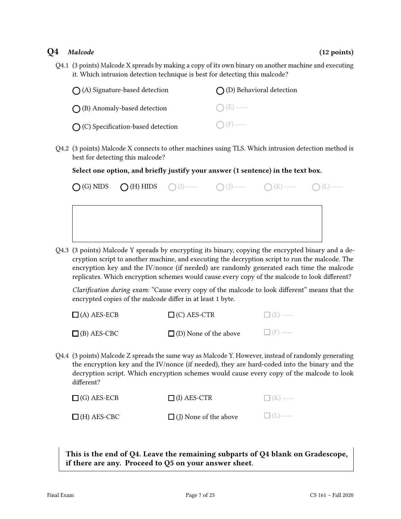## $Q4$  Malcode (12 points) (12 points)

Q4.1 (3 points) Malcode X spreads by making a copy of its own binary on another machine and executing it. Which intrusion detection technique is best for detecting this malcode?

| $\bigcap$ (A) Signature-based detection     | $\bigcap$ (D) Behavioral detection |
|---------------------------------------------|------------------------------------|
| $\bigcap$ (B) Anomaly-based detection       | $\bigcap (E)$ —                    |
| $\bigcap$ (C) Specification-based detection | $\bigcap$ (F) —                    |

Q4.2 (3 points) Malcode X connects to other machines using TLS. Which intrusion detection method is best for detecting this malcode?

Select one option, and briefly justify your answer (1 sentence) in the text box.

|  |  | $O(G)$ NIDS $O(H)$ HIDS $O(I)$ $\longrightarrow$ $O(J)$ $\longrightarrow$ $O(K)$ $\longrightarrow$ $O(L)$ $\longrightarrow$ |  |
|--|--|-----------------------------------------------------------------------------------------------------------------------------|--|
|  |  |                                                                                                                             |  |
|  |  |                                                                                                                             |  |
|  |  |                                                                                                                             |  |

Q4.3 (3 points) Malcode Y spreads by encrypting its binary, copying the encrypted binary and a decryption script to another machine, and executing the decryption script to run the malcode. The encryption key and the IV/nonce (if needed) are randomly generated each time the malcode replicates. Which encryption schemes would cause every copy of the malcode to look different?

Clarification during exam: "Cause every copy of the malcode to look different" means that the encrypted copies of the malcode differ in at least 1 byte.

| $\Box$ (A) AES-ECB | $\Box$ (C) AES-CTR           | $\Box$ (E) — |
|--------------------|------------------------------|--------------|
| $\Box$ (B) AES-CBC | $\Box$ (D) None of the above | $\Box$ (F) — |

Q4.4 (3 points) Malcode Z spreads the same way as Malcode Y. However, instead of randomly generating the encryption key and the IV/nonce (if needed), they are hard-coded into the binary and the decryption script. Which encryption schemes would cause every copy of the malcode to look different?

| $\Box$ (G) AES-ECB | $\Box$ (I) AES-CTR           | $\Box$ (K) — |
|--------------------|------------------------------|--------------|
| $\Box$ (H) AES-CBC | $\Box$ (J) None of the above | $\Box$ (L) — |

This is the end of Q4. Leave the remaining subparts of Q4 blank on Gradescope, if there are any. Proceed to Q5 on your answer sheet.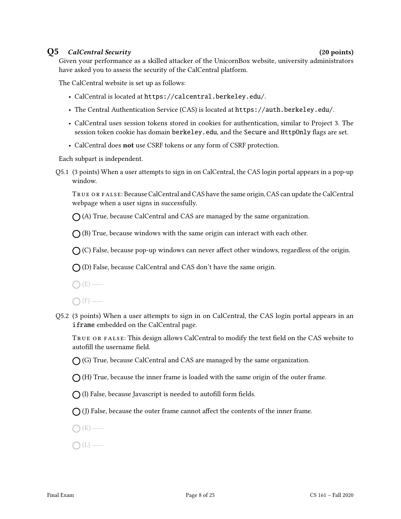## Q5 CalCentral Security (20 points)

Given your performance as a skilled attacker of the UnicornBox website, university administrators have asked you to assess the security of the CalCentral platform.

The CalCentral website is set up as follows:

- CalCentral is located at https://calcentral.berkeley.edu/.
- The Central Authentication Service (CAS) is located at https://auth.berkeley.edu/.
- CalCentral uses session tokens stored in cookies for authentication, similar to Project 3. The session token cookie has domain berkeley.edu, and the Secure and HttpOnly flags are set.
- CalCentral does not use CSRF tokens or any form of CSRF protection.

Each subpart is independent.

Q5.1 (3 points) When a user attempts to sign in on CalCentral, the CAS login portal appears in a pop-up window.

TRUE OR FALSE: Because CalCentral and CAS have the same origin, CAS can update the CalCentral webpage when a user signs in successfully.

 $\bigcap$  (A) True, because CalCentral and CAS are managed by the same organization.

 $\bigcap$  (B) True, because windows with the same origin can interact with each other.

 $\bigcap$  (C) False, because pop-up windows can never affect other windows, regardless of the origin.

 $\bigcap$  (D) False, because CalCentral and CAS don't have the same origin.

 $\bigcap(E)$  —

 $\bigcap$  (F) —

Q5.2 (3 points) When a user attempts to sign in on CalCentral, the CAS login portal appears in an iframe embedded on the CalCentral page.

TRUE OR FALSE: This design allows CalCentral to modify the text field on the CAS website to autofill the username field.

 $\bigcap$  (G) True, because CalCentral and CAS are managed by the same organization.

 $\bigcap$  (H) True, because the inner frame is loaded with the same origin of the outer frame.

 $\bigcap$  (I) False, because Javascript is needed to autofill form fields.

 $\bigcap$  (J) False, because the outer frame cannot affect the contents of the inner frame.

 $\bigcap (K)$  —

 $\bigcap(L)$  —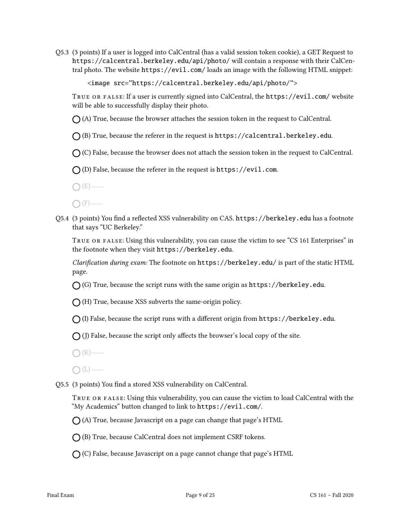Q5.3 (3 points) If a user is logged into CalCentral (has a valid session token cookie), a GET Request to https://calcentral.berkeley.edu/api/photo/ will contain a response with their CalCentral photo. The website https://evil.com/ loads an image with the following HTML snippet:

<image src="https://calcentral.berkeley.edu/api/photo/">

True or false: If a user is currently signed into CalCentral, the https://evil.com/ website will be able to successfully display their photo.

 $\bigcap$  (A) True, because the browser attaches the session token in the request to CalCentral.

 $\bigcap$  (B) True, because the referer in the request is https://calcentral.berkeley.edu.

 $\bigcap$  (C) False, because the browser does not attach the session token in the request to CalCentral.

 $\bigcap$  (D) False, because the referer in the request is https://evil.com.

 $\bigcap (E)$  —

 $\bigcap$  (F) —

Q5.4 (3 points) You find a reflected XSS vulnerability on CAS. https://berkeley.edu has a footnote that says "UC Berkeley."

True or false: Using this vulnerability, you can cause the victim to see "CS 161 Enterprises" in the footnote when they visit https://berkeley.edu.

Clarification during exam: The footnote on https://berkeley.edu/ is part of the static HTML page.

 $\bigcap$  (G) True, because the script runs with the same origin as https://berkeley.edu.

 $\bigcap$  (H) True, because XSS subverts the same-origin policy.

 $\bigcap$  (I) False, because the script runs with a different origin from https://berkeley.edu.

 $\bigcap$  (J) False, because the script only affects the browser's local copy of the site.

 $\bigcap (K)$  —

 $\bigcap(L)$ —

Q5.5 (3 points) You find a stored XSS vulnerability on CalCentral.

TRUE OR FALSE: Using this vulnerability, you can cause the victim to load CalCentral with the "My Academics" button changed to link to https://evil.com/.

 $\bigcap$  (A) True, because Javascript on a page can change that page's HTML

 $\bigcap$  (B) True, because CalCentral does not implement CSRF tokens.

 $\bigcirc$  (C) False, because Javascript on a page cannot change that page's HTML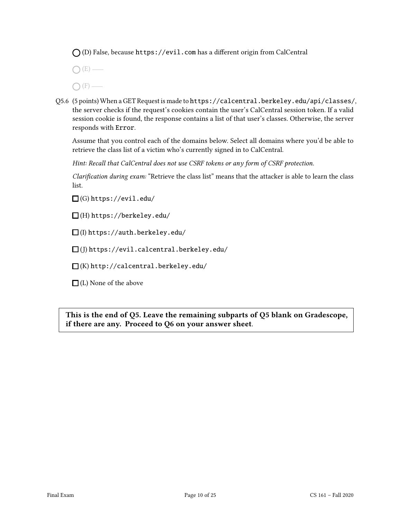$\bigcap$  (D) False, because https://evil.com has a different origin from CalCentral

 $\bigcap (E)$  —  $\bigcap$  (F) —

Q5.6 (5 points) When a GET Request is made to https://calcentral.berkeley.edu/api/classes/, the server checks if the request's cookies contain the user's CalCentral session token. If a valid session cookie is found, the response contains a list of that user's classes. Otherwise, the server responds with Error.

Assume that you control each of the domains below. Select all domains where you'd be able to retrieve the class list of a victim who's currently signed in to CalCentral.

Hint: Recall that CalCentral does not use CSRF tokens or any form of CSRF protection.

Clarification during exam: "Retrieve the class list" means that the attacker is able to learn the class list.

 $\Box$ (G) https://evil.edu/

 $\Box$ (H) https://berkeley.edu/

(I) https://auth.berkeley.edu/

 $\Box$ (J) https://evil.calcentral.berkeley.edu/

 $\square$ (K) http://calcentral.berkeley.edu/

 $\Box$  (L) None of the above

This is the end of Q5. Leave the remaining subparts of Q5 blank on Gradescope, if there are any. Proceed to Q6 on your answer sheet.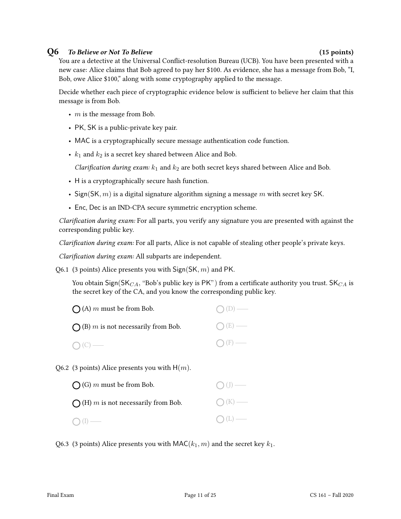### Q6 To Believe or Not To Believe (15 points)

You are a detective at the Universal Conflict-resolution Bureau (UCB). You have been presented with a new case: Alice claims that Bob agreed to pay her \$100. As evidence, she has a message from Bob, "I, Bob, owe Alice \$100," along with some cryptography applied to the message.

Decide whether each piece of cryptographic evidence below is sufficient to believe her claim that this message is from Bob.

- $m$  is the message from Bob.
- PK, SK is a public-private key pair.
- MAC is a cryptographically secure message authentication code function.
- $k_1$  and  $k_2$  is a secret key shared between Alice and Bob.

Clarification during exam:  $k_1$  and  $k_2$  are both secret keys shared between Alice and Bob.

- H is a cryptographically secure hash function.
- Sign(SK,  $m$ ) is a digital signature algorithm signing a message  $m$  with secret key SK.
- Enc, Dec is an IND-CPA secure symmetric encryption scheme.

Clarification during exam: For all parts, you verify any signature you are presented with against the corresponding public key.

Clarification during exam: For all parts, Alice is not capable of stealing other people's private keys.

Clarification during exam: All subparts are independent.

Q6.1 (3 points) Alice presents you with  $Sign(SK, m)$  and PK.

You obtain Sign(SK $_{CA}$ , "Bob's public key is PK") from a certificate authority you trust. SK $_{CA}$  is the secret key of the CA, and you know the corresponding public key.

| $\bigcap$ (A) m must be from Bob.            | $O(D)$ —        |
|----------------------------------------------|-----------------|
| $\bigcap$ (B) m is not necessarily from Bob. | $O(E)$ —        |
| $O(C)$ —                                     | $\bigcap$ (F) — |

Q6.2 (3 points) Alice presents you with  $H(m)$ .

| $\bigcap$ (G) m must be from Bob.            | $\bigcirc$ (J) — |
|----------------------------------------------|------------------|
| $\bigcap$ (H) m is not necessarily from Bob. | $\bigcap (K)$ —  |
| $\bigcap (I)$ —                              | $O(L)$ —         |

Q6.3 (3 points) Alice presents you with  $\mathsf{MAC}(k_1, m)$  and the secret key  $k_1$ .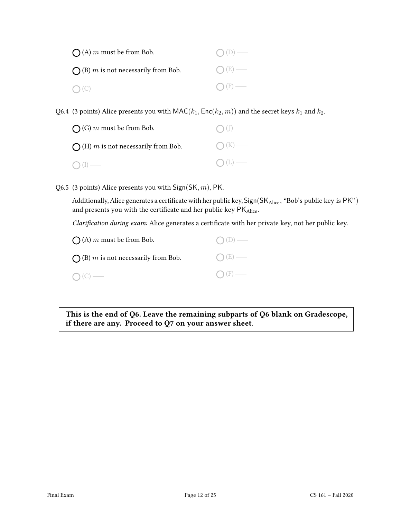| $\bigcap$ (A) m must be from Bob.            | $O(D)$ —        |
|----------------------------------------------|-----------------|
| $\bigcap$ (B) m is not necessarily from Bob. | $O(E)$ —        |
| $O(C)$ —                                     | $\bigcap$ (F) — |

Q6.4 (3 points) Alice presents you with  $\mathsf{MAC}(k_1, \mathsf{Enc}(k_2, m))$  and the secret keys  $k_1$  and  $k_2$ .

| $\bigcap$ (G) m must be from Bob.            | $\bigcap$ (J) — |
|----------------------------------------------|-----------------|
| $\bigcap$ (H) m is not necessarily from Bob. | $\bigcap (K)$ — |
| $O(I)$ —                                     | $\bigcap (L)$ — |

Q6.5 (3 points) Alice presents you with  $Sign(SK, m)$ , PK.

Additionally, Alice generates a certificate with her public key,  $\rm{Sign}(SK_{Alice},$  "Bob's public key is  $\rm PK"$  ) and presents you with the certificate and her public key  $\mathsf{PK}_\mathrm{Alice}.$ 

Clarification during exam: Alice generates a certificate with her private key, not her public key.

| $\bigcap$ (A) m must be from Bob.            | $O(D)$ —        |
|----------------------------------------------|-----------------|
| $\bigcap$ (B) m is not necessarily from Bob. | $O(E)$ —        |
| $\bigcap (C)$ —                              | $\bigcap$ (F) — |

This is the end of Q6. Leave the remaining subparts of Q6 blank on Gradescope, if there are any. Proceed to Q7 on your answer sheet.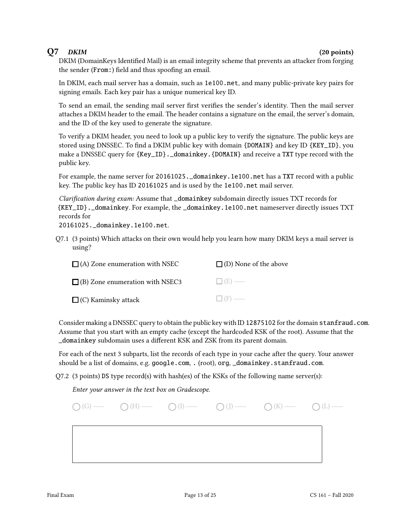## $Q7$  DKIM (20 points)

DKIM (DomainKeys Identified Mail) is an email integrity scheme that prevents an attacker from forging the sender  $(From:)$  field and thus spoofing an email.

In DKIM, each mail server has a domain, such as 1e100.net, and many public-private key pairs for signing emails. Each key pair has a unique numerical key ID.

To send an email, the sending mail server first verifies the sender's identity. Then the mail server attaches a DKIM header to the email. The header contains a signature on the email, the server's domain, and the ID of the key used to generate the signature.

To verify a DKIM header, you need to look up a public key to verify the signature. The public keys are stored using DNSSEC. To find a DKIM public key with domain  $\{DOMAIN\}$  and key ID  $\{KEY\_ID\}$ , you make a DNSSEC query for {Key\_ID}. \_domainkey. {DOMAIN} and receive a TXT type record with the public key.

For example, the name server for 20161025. \_domainkey. 1e100.net has a TXT record with a public key. The public key has ID 20161025 and is used by the 1e100.net mail server.

Clarification during exam: Assume that \_domainkey subdomain directly issues TXT records for {KEY\_ID}.\_domainkey. For example, the \_domainkey.1e100.net nameserver directly issues TXT records for

20161025.\_domainkey.1e100.net.

Q7.1 (3 points) Which attacks on their own would help you learn how many DKIM keys a mail server is using?

| $\Box$ (A) Zone enumeration with NSEC  | $\Box$ (D) None of the above |
|----------------------------------------|------------------------------|
| $\Box$ (B) Zone enumeration with NSEC3 | $\Box$ (E) —                 |
| $\Box$ (C) Kaminsky attack             | $\Box$ (F) —                 |

Consider making a DNSSEC query to obtain the public key with ID 12875102 for the domain stanfraud.com. Assume that you start with an empty cache (except the hardcoded KSK of the root). Assume that the \_domainkey subdomain uses a different KSK and ZSK from its parent domain.

For each of the next 3 subparts, list the records of each type in your cache after the query. Your answer should be a list of domains, e.g. google.com, . (root), org, \_domainkey.stanfraud.com.

 $Q7.2$  (3 points) DS type record(s) with hash(es) of the KSKs of the following name server(s):

Enter your answer in the text box on Gradescope.

|  | $\bigcirc$ (G) $\longrightarrow$ $\bigcirc$ (H) $\longrightarrow$ $\bigcirc$ (I) $\longrightarrow$ $\bigcirc$ (J) $\longrightarrow$ $\bigcirc$ (K) $\longrightarrow$ $\bigcirc$ (L) $\longrightarrow$ |  |
|--|-------------------------------------------------------------------------------------------------------------------------------------------------------------------------------------------------------|--|
|  |                                                                                                                                                                                                       |  |
|  |                                                                                                                                                                                                       |  |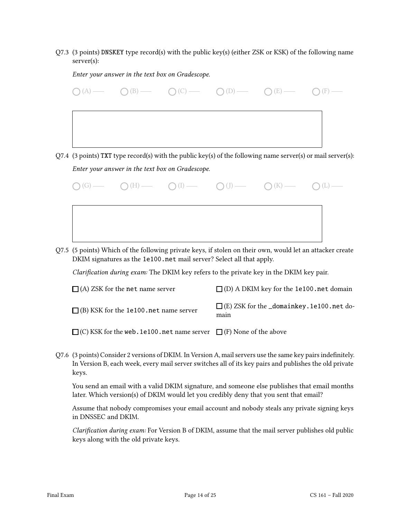Q7.3 (3 points) DNSKEY type record(s) with the public key(s) (either ZSK or KSK) of the following name server(s):

Enter your answer in the text box on Gradescope.  $O(A)$   $O(B)$   $O(C)$   $O(D)$   $O(E)$   $O(E)$   $O(F)$   $O(F)$ 

Q7.4 (3 points) TXT type record(s) with the public key(s) of the following name server(s) or mail server(s): Enter your answer in the text box on Gradescope.



Q7.5 (5 points) Which of the following private keys, if stolen on their own, would let an attacker create DKIM signatures as the 1e100.net mail server? Select all that apply.

Clarification during exam: The DKIM key refers to the private key in the DKIM key pair.

| $\Box$ (A) ZSK for the net name server       | $\Box$ (D) A DKIM key for the 1e100 net domain                |
|----------------------------------------------|---------------------------------------------------------------|
| $\Box$ (B) KSK for the 1e100 net name server | $\Box$ (E) ZSK for the $\_domainkey$ . 1e100. net do-<br>main |
|                                              |                                                               |

(C) KSK for the web.1e100.net name server  $\Box$  (F) None of the above

Q7.6 (3 points) Consider 2 versions of DKIM. In Version A, mail servers use the same key pairs indefinitely. In Version B, each week, every mail server switches all of its key pairs and publishes the old private keys.

You send an email with a valid DKIM signature, and someone else publishes that email months later. Which version(s) of DKIM would let you credibly deny that you sent that email?

Assume that nobody compromises your email account and nobody steals any private signing keys in DNSSEC and DKIM.

Clarification during exam: For Version B of DKIM, assume that the mail server publishes old public keys along with the old private keys.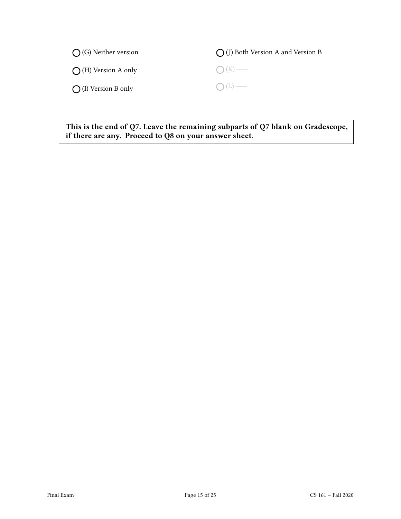| $\bigcap$ (G) Neither version | $\bigcap$ (J) Both Version A and Version B |
|-------------------------------|--------------------------------------------|
| $\bigcap$ (H) Version A only  | $\bigcap (K)$ —                            |
| $\bigcap$ (I) Version B only  | $O(L)$ —                                   |

This is the end of Q7. Leave the remaining subparts of Q7 blank on Gradescope, if there are any. Proceed to Q8 on your answer sheet.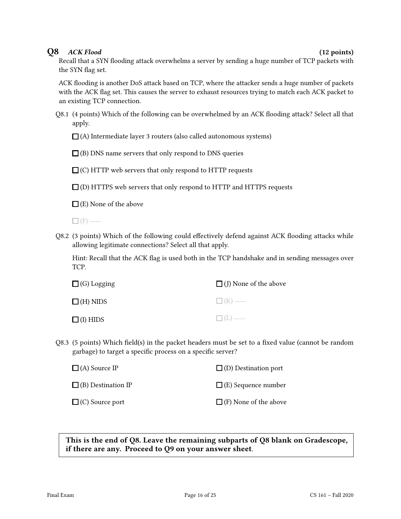## Q8 ACK Flood (12 points)

Recall that a SYN flooding attack overwhelms a server by sending a huge number of TCP packets with the SYN flag set.

ACK flooding is another DoS attack based on TCP, where the attacker sends a huge number of packets with the ACK flag set. This causes the server to exhaust resources trying to match each ACK packet to an existing TCP connection.

Q8.1 (4 points) Which of the following can be overwhelmed by an ACK flooding attack? Select all that apply.

 $\Box$  (A) Intermediate layer 3 routers (also called autonomous systems)

 $\Box$  (B) DNS name servers that only respond to DNS queries

 $\Box$  (C) HTTP web servers that only respond to HTTP requests

 $\Box$  (D) HTTPS web servers that only respond to HTTP and HTTPS requests

 $\Box$  (E) None of the above

 $\Box$ (F) —

Q8.2 (3 points) Which of the following could effectively defend against ACK flooding attacks while allowing legitimate connections? Select all that apply.

Hint: Recall that the ACK flag is used both in the TCP handshake and in sending messages over TCP.

| $\Box$ (G) Logging | $\Box$ (J) None of the above |
|--------------------|------------------------------|
| $\Box$ (H) NIDS    | $\Box$ (K) —                 |
| $\Box$ (I) HIDS    | $\Box(L)$                    |

Q8.3 (5 points) Which field(s) in the packet headers must be set to a fixed value (cannot be random garbage) to target a specific process on a specific server?

| $\Box$ (A) Source IP      | $\Box$ (D) Destination port  |
|---------------------------|------------------------------|
| $\Box$ (B) Destination IP | $\Box$ (E) Sequence number   |
| $\square$ (C) Source port | $\Box$ (F) None of the above |

This is the end of Q8. Leave the remaining subparts of Q8 blank on Gradescope, if there are any. Proceed to Q9 on your answer sheet.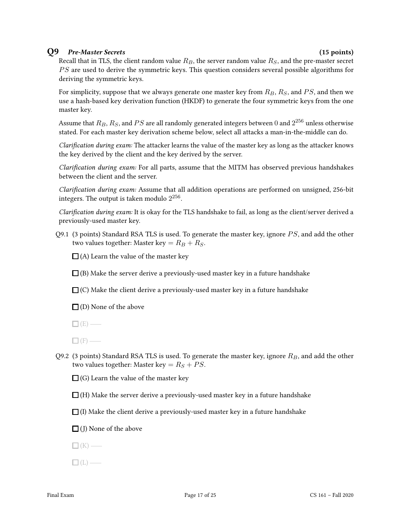### Q9 Pre-Master Secrets (15 points)

Recall that in TLS, the client random value  $R_B$ , the server random value  $R_S$ , and the pre-master secret PS are used to derive the symmetric keys. This question considers several possible algorithms for deriving the symmetric keys.

For simplicity, suppose that we always generate one master key from  $R_B$ ,  $R_S$ , and  $PS$ , and then we use a hash-based key derivation function (HKDF) to generate the four symmetric keys from the one master key.

Assume that  $R_B, R_S,$  and  $PS$  are all randomly generated integers between  $0$  and  $2^{256}$  unless otherwise stated. For each master key derivation scheme below, select all attacks a man-in-the-middle can do.

Clarification during exam: The attacker learns the value of the master key as long as the attacker knows the key derived by the client and the key derived by the server.

Clarification during exam: For all parts, assume that the MITM has observed previous handshakes between the client and the server.

Clarification during exam: Assume that all addition operations are performed on unsigned, 256-bit integers. The output is taken modulo  $2^{256}.$ 

Clarification during exam: It is okay for the TLS handshake to fail, as long as the client/server derived a previously-used master key.

Q9.1 (3 points) Standard RSA TLS is used. To generate the master key, ignore  $PS$ , and add the other two values together: Master key =  $R_B + R_S$ .

 $\Box$  (A) Learn the value of the master key

 $\Box$ (B) Make the server derive a previously-used master key in a future handshake

 $\Box$  (C) Make the client derive a previously-used master key in a future handshake

 $\square$  (D) None of the above

 $\Box$  (E) —

 $\Box$  (F) —

Q9.2 (3 points) Standard RSA TLS is used. To generate the master key, ignore  $R_B$ , and add the other two values together: Master key =  $R_S + PS$ .

 $\Box$  (G) Learn the value of the master key

 $\Box$  (H) Make the server derive a previously-used master key in a future handshake

 $\Box$  (I) Make the client derive a previously-used master key in a future handshake

 $\Box$  (J) None of the above

 $\Box$ (K) —

 $\Box$ (L) —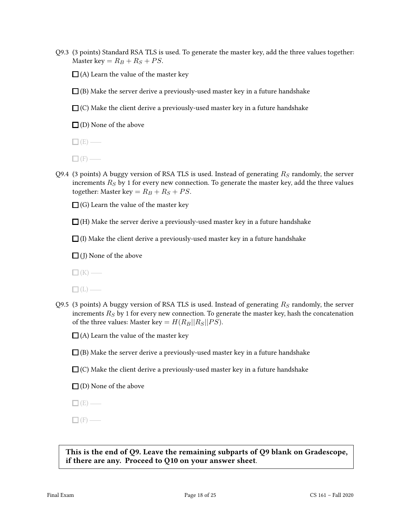- Q9.3 (3 points) Standard RSA TLS is used. To generate the master key, add the three values together: Master key =  $R_B + R_S + PS$ .
	- $\Box$  (A) Learn the value of the master key
	- $\Box$ (B) Make the server derive a previously-used master key in a future handshake
	- $\square$  (C) Make the client derive a previously-used master key in a future handshake

 $\Box$  (D) None of the above

 $\Box$ (E) —

 $\Box$  (F) —

Q9.4 (3 points) A buggy version of RSA TLS is used. Instead of generating  $R<sub>S</sub>$  randomly, the server increments  $R_S$  by 1 for every new connection. To generate the master key, add the three values together: Master key =  $R_B + R_S + PS$ .

 $\Box$  (G) Learn the value of the master key

 $\Box$  (H) Make the server derive a previously-used master key in a future handshake

 $\Box$  (I) Make the client derive a previously-used master key in a future handshake

 $\Box$  (J) None of the above

 $\Box$  (K) —

 $\Box$ (L) —

Q9.5 (3 points) A buggy version of RSA TLS is used. Instead of generating  $R<sub>S</sub>$  randomly, the server increments  $R<sub>S</sub>$  by 1 for every new connection. To generate the master key, hash the concatenation of the three values: Master key =  $H(R_B||R_S||PS)$ .

 $\Box$  (A) Learn the value of the master key

- $\Box$ (B) Make the server derive a previously-used master key in a future handshake
- $\Box$  (C) Make the client derive a previously-used master key in a future handshake

 $\Box$  (D) None of the above

 $\Box$  (E) —

 $\Box$  (F) —

This is the end of Q9. Leave the remaining subparts of Q9 blank on Gradescope, if there are any. Proceed to Q10 on your answer sheet.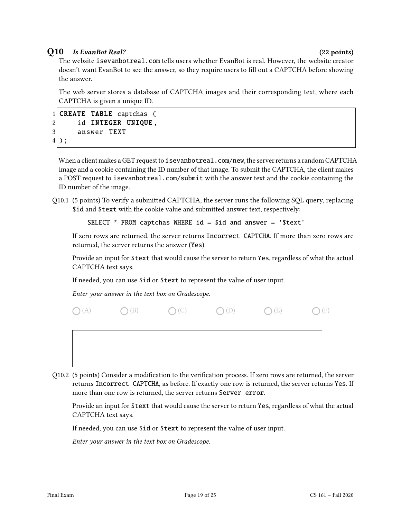## Q10 Is EvanBot Real? (22 points)

The website isevanbotreal.com tells users whether EvanBot is real. However, the website creator doesn't want EvanBot to see the answer, so they require users to fill out a CAPTCHA before showing the answer.

The web server stores a database of CAPTCHA images and their corresponding text, where each CAPTCHA is given a unique ID.

```
1 CREATE TABLE captchas (
2 id INTEGER UNIQUE,
3 answer TEXT
4);
```
When a client makes a GET request to isevanbotreal.com/new, the server returns a random CAPTCHA image and a cookie containing the ID number of that image. To submit the CAPTCHA, the client makes a POST request to isevanbotreal.com/submit with the answer text and the cookie containing the ID number of the image.

Q10.1 (5 points) To verify a submitted CAPTCHA, the server runs the following SQL query, replacing \$id and \$text with the cookie value and submitted answer text, respectively:

SELECT  $*$  FROM captchas WHERE id = \$id and answer = '\$text'

If zero rows are returned, the server returns Incorrect CAPTCHA. If more than zero rows are returned, the server returns the answer (Yes).

Provide an input for \$text that would cause the server to return Yes, regardless of what the actual CAPTCHA text says.

If needed, you can use \$id or \$text to represent the value of user input.

Enter your answer in the text box on Gradescope.





Q10.2 (5 points) Consider a modification to the verification process. If zero rows are returned, the server returns Incorrect CAPTCHA, as before. If exactly one row is returned, the server returns Yes. If more than one row is returned, the server returns Server error.

Provide an input for \$text that would cause the server to return Yes, regardless of what the actual CAPTCHA text says.

If needed, you can use \$id or \$text to represent the value of user input.

Enter your answer in the text box on Gradescope.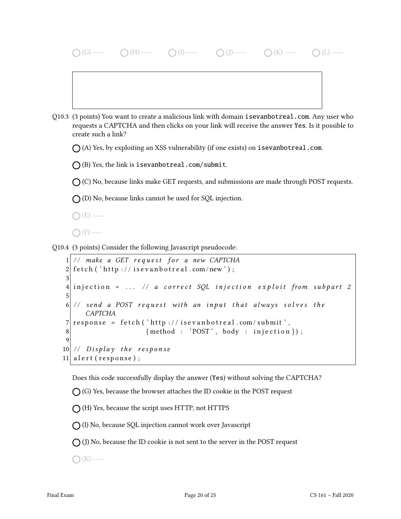|          | $\bigcap (H)$<br>$\bigcap$ (K)                                                                                                                                                                                                                                                                                             |
|----------|----------------------------------------------------------------------------------------------------------------------------------------------------------------------------------------------------------------------------------------------------------------------------------------------------------------------------|
|          |                                                                                                                                                                                                                                                                                                                            |
| Q10.3    | (3 points) You want to create a malicious link with domain is evan botreal.com. Any user who<br>requests a CAPTCHA and then clicks on your link will receive the answer Yes. Is it possible to<br>create such a link?                                                                                                      |
|          | $\bigcap$ (A) Yes, by exploiting an XSS vulnerability (if one exists) on <code>isevanbotreal.com.</code>                                                                                                                                                                                                                   |
|          | $\bigcap$ (B) Yes, the link is isevanbotreal.com/submit.                                                                                                                                                                                                                                                                   |
|          | $\bigcirc$ (C) No, because links make GET requests, and submissions are made through POST requests.                                                                                                                                                                                                                        |
|          | $\bigcap$ (D) No, because links cannot be used for SQL injection.                                                                                                                                                                                                                                                          |
|          |                                                                                                                                                                                                                                                                                                                            |
|          |                                                                                                                                                                                                                                                                                                                            |
|          | Q10.4 (3 points) Consider the following Javascript pseudocode:                                                                                                                                                                                                                                                             |
| $\Omega$ | // make a GET request for a new CAPTCHA<br>$f_{n+1}$ , $\binom{3}{1}$ , $f_{n+1}$ , $\binom{1}{2}$ , $f_{n+1}$ , $f_{n+1}$ , $f_{n+1}$ , $f_{n+1}$ , $f_{n+1}$ , $f_{n+1}$ , $f_{n+1}$ , $f_{n+1}$ , $f_{n+1}$ , $f_{n+1}$ , $f_{n+1}$ , $f_{n+1}$ , $f_{n+1}$ , $f_{n+1}$ , $f_{n+1}$ , $f_{n+1}$ , $f_{n+1}$ , $f_{n+1}$ |

```
2 \mid \text{ fetch}('http://isevanbotreal.com/news');3
4 injection = ... // a correct SQL injection exploit from subpart 2
5
6 // send a POST request with an input that always solves the
     CAPTCHA
7 response = fetch ('http://isevanbotreal.com/submit',
8 { method : 'POST', body : injection } );
9
10 \mid \text{/} / \text{ Display the response}11 a l e r t (response);
```
Does this code successfully display the answer (Yes) without solving the CAPTCHA?

 $\bigcirc$  (G) Yes, because the browser attaches the ID cookie in the POST request

 $\bigcap$  (H) Yes, because the script uses HTTP, not HTTPS

(I) No, because SQL injection cannot work over Javascript

 $\bigcap$  (J) No, because the ID cookie is not sent to the server in the POST request

 $\bigcap$  (K) —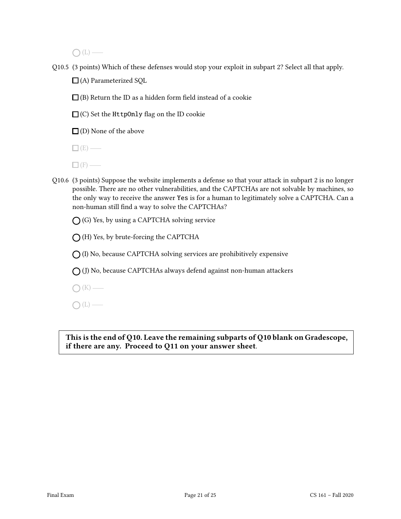$O(L)$ —

Q10.5 (3 points) Which of these defenses would stop your exploit in subpart 2? Select all that apply.

 $\Box$ (A) Parameterized SQL

 $\Box$  (B) Return the ID as a hidden form field instead of a cookie

 $\Box$  (C) Set the HttpOnly flag on the ID cookie

 $\square$  (D) None of the above

 $\square$  (E) —

 $\Box$  (F) —

Q10.6 (3 points) Suppose the website implements a defense so that your attack in subpart 2 is no longer possible. There are no other vulnerabilities, and the CAPTCHAs are not solvable by machines, so the only way to receive the answer Yes is for a human to legitimately solve a CAPTCHA. Can a non-human still find a way to solve the CAPTCHAs?

 $\bigcap$  (G) Yes, by using a CAPTCHA solving service

 $\bigcap$  (H) Yes, by brute-forcing the CAPTCHA

 $\bigcap$  (I) No, because CAPTCHA solving services are prohibitively expensive

 $\bigcap$  (J) No, because CAPTCHAs always defend against non-human attackers

 $\bigcap (K)$  —

 $\bigcap(L)$  —

This is the end of Q10. Leave the remaining subparts of Q10 blank on Gradescope, if there are any. Proceed to Q11 on your answer sheet.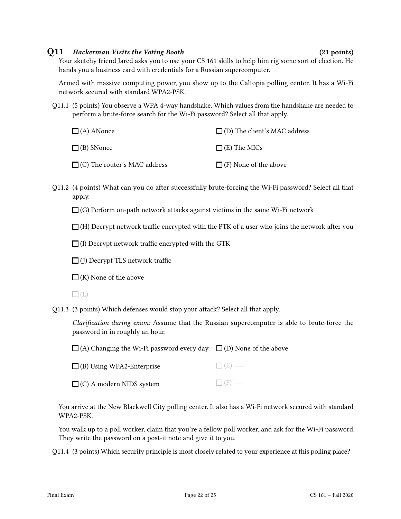### Q11 Hackerman Visits the Voting Booth (21 points)

Your sketchy friend Jared asks you to use your CS 161 skills to help him rig some sort of election. He hands you a business card with credentials for a Russian supercomputer.

Armed with massive computing power, you show up to the Caltopia polling center. It has a Wi-Fi network secured with standard WPA2-PSK.

Q11.1 (5 points) You observe a WPA 4-way handshake. Which values from the handshake are needed to perform a brute-force search for the Wi-Fi password? Select all that apply.

| $\Box$ (A) ANonce                   | $\Box$ (D) The client's MAC address |  |  |
|-------------------------------------|-------------------------------------|--|--|
| $\Box$ (B) SNonce                   | $\Box$ (E) The MICs                 |  |  |
| $\Box$ (C) The router's MAC address | $\Box$ (F) None of the above        |  |  |

Q11.2 (4 points) What can you do after successfully brute-forcing the Wi-Fi password? Select all that apply.

 $\Box$  (G) Perform on-path network attacks against victims in the same Wi-Fi network

 $\Box$  (H) Decrypt network traffic encrypted with the PTK of a user who joins the network after you

 $\Box$  (I) Decrypt network traffic encrypted with the GTK

 $\Box$  (J) Decrypt TLS network traffic

 $\Box$  (K) None of the above

 $\Box$ (L) —

Q11.3 (3 points) Which defenses would stop your attack? Select all that apply.

Clarification during exam: Assume that the Russian supercomputer is able to brute-force the password in in roughly an hour.

(A) Changing the Wi-Fi password every day  $\quad \Box$  (D) None of the above

| $\Box$ (B) Using WPA2-Enterprise | $\Box$ (E) — |
|----------------------------------|--------------|
| $\Box$ (C) A modern NIDS system  | $\Box$ (F) — |

 $\Box$  (C) A modern NIDS system

You arrive at the New Blackwell City polling center. It also has a Wi-Fi network secured with standard WPA2-PSK.

You walk up to a poll worker, claim that you're a fellow poll worker, and ask for the Wi-Fi password. They write the password on a post-it note and give it to you.

Q11.4 (3 points) Which security principle is most closely related to your experience at this polling place?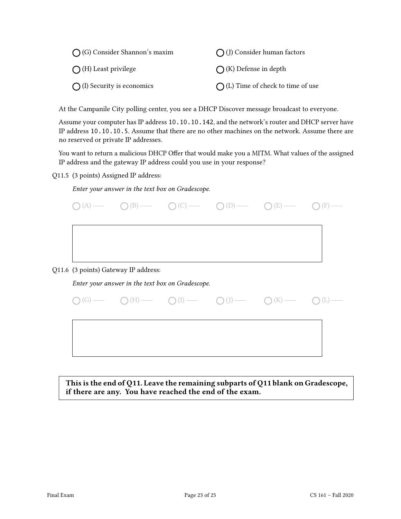| $\bigcap$ (G) Consider Shannon's maxim | $\bigcap$ (J) Consider human factors       |  |  |
|----------------------------------------|--------------------------------------------|--|--|
| $\bigcap$ (H) Least privilege          | $\bigcap$ (K) Defense in depth             |  |  |
| $\bigcap$ (I) Security is economics    | $\bigcap$ (L) Time of check to time of use |  |  |

At the Campanile City polling center, you see a DHCP Discover message broadcast to everyone.

Assume your computer has IP address 10.10.10.142, and the network's router and DHCP server have IP address 10.10.10.5. Assume that there are no other machines on the network. Assume there are no reserved or private IP addresses.

You want to return a malicious DHCP Offer that would make you a MITM. What values of the assigned IP address and the gateway IP address could you use in your response?

Q11.5 (3 points) Assigned IP address:

Enter your answer in the text box on Gradescope.

|  |                                      |                                                  |                                                                                                                                    | $\bigcap (A) \longrightarrow \bigcap (B) \longrightarrow \bigcap (C) \longrightarrow \bigcap (D) \longrightarrow \bigcap (E) \longrightarrow \bigcap (C)$ |  |
|--|--------------------------------------|--------------------------------------------------|------------------------------------------------------------------------------------------------------------------------------------|-----------------------------------------------------------------------------------------------------------------------------------------------------------|--|
|  |                                      |                                                  |                                                                                                                                    |                                                                                                                                                           |  |
|  |                                      |                                                  |                                                                                                                                    |                                                                                                                                                           |  |
|  | Q11.6 (3 points) Gateway IP address: |                                                  |                                                                                                                                    |                                                                                                                                                           |  |
|  |                                      | Enter your answer in the text box on Gradescope. |                                                                                                                                    |                                                                                                                                                           |  |
|  |                                      |                                                  | $\bigcirc$ (G) $\qquad \qquad \bigcirc$ (H) $\qquad \qquad \bigcirc$ (I) $\qquad \qquad \bigcirc$ (J) $\qquad \qquad \bigcirc$ (K) |                                                                                                                                                           |  |
|  |                                      |                                                  |                                                                                                                                    |                                                                                                                                                           |  |
|  |                                      |                                                  |                                                                                                                                    |                                                                                                                                                           |  |
|  |                                      |                                                  |                                                                                                                                    |                                                                                                                                                           |  |

This is the end of Q11. Leave the remaining subparts of Q11 blank on Gradescope, if there are any. You have reached the end of the exam.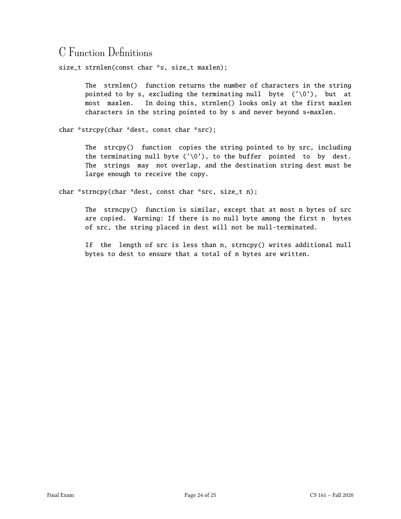# C Function Definitions

size\_t strnlen(const char \*s, size\_t maxlen);

The strnlen() function returns the number of characters in the string pointed to by s, excluding the terminating null byte  $(\sqrt{0})$ , but at most maxlen. In doing this, strnlen() looks only at the first maxlen characters in the string pointed to by s and never beyond s+maxlen.

char \*strcpy(char \*dest, const char \*src);

The strcpy() function copies the string pointed to by src, including the terminating null byte (' $\setminus 0'$ ), to the buffer pointed to by dest. The strings may not overlap, and the destination string dest must be large enough to receive the copy.

char \*strncpy(char \*dest, const char \*src, size\_t n);

The strncpy() function is similar, except that at most n bytes of src are copied. Warning: If there is no null byte among the first n bytes of src, the string placed in dest will not be null-terminated.

If the length of src is less than n, strncpy() writes additional null bytes to dest to ensure that a total of n bytes are written.